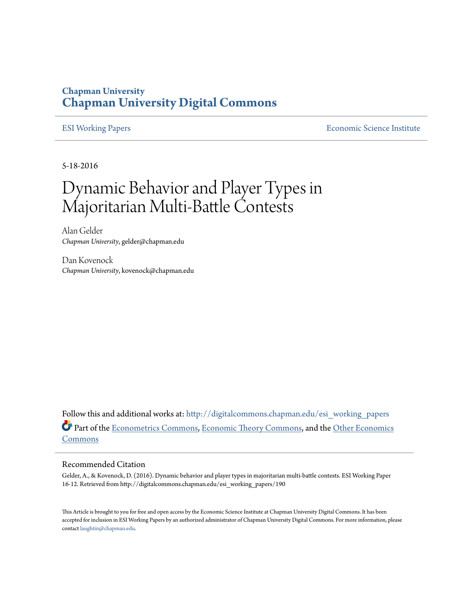### **Chapman University [Chapman University Digital Commons](http://digitalcommons.chapman.edu?utm_source=digitalcommons.chapman.edu%2Fesi_working_papers%2F190&utm_medium=PDF&utm_campaign=PDFCoverPages)**

[ESI Working Papers](http://digitalcommons.chapman.edu/esi_working_papers?utm_source=digitalcommons.chapman.edu%2Fesi_working_papers%2F190&utm_medium=PDF&utm_campaign=PDFCoverPages) **[Economic Science Institute](http://digitalcommons.chapman.edu/esi?utm_source=digitalcommons.chapman.edu%2Fesi_working_papers%2F190&utm_medium=PDF&utm_campaign=PDFCoverPages)** 

5-18-2016

# Dynamic Behavior and Player Types in Majoritarian Multi-Battle Contests

Alan Gelder *Chapman University*, gelder@chapman.edu

Dan Kovenock *Chapman University*, kovenock@chapman.edu

Follow this and additional works at: [http://digitalcommons.chapman.edu/esi\\_working\\_papers](http://digitalcommons.chapman.edu/esi_working_papers?utm_source=digitalcommons.chapman.edu%2Fesi_working_papers%2F190&utm_medium=PDF&utm_campaign=PDFCoverPages) Part of the [Econometrics Commons,](http://network.bepress.com/hgg/discipline/342?utm_source=digitalcommons.chapman.edu%2Fesi_working_papers%2F190&utm_medium=PDF&utm_campaign=PDFCoverPages) [Economic Theory Commons](http://network.bepress.com/hgg/discipline/344?utm_source=digitalcommons.chapman.edu%2Fesi_working_papers%2F190&utm_medium=PDF&utm_campaign=PDFCoverPages), and the [Other Economics](http://network.bepress.com/hgg/discipline/353?utm_source=digitalcommons.chapman.edu%2Fesi_working_papers%2F190&utm_medium=PDF&utm_campaign=PDFCoverPages) [Commons](http://network.bepress.com/hgg/discipline/353?utm_source=digitalcommons.chapman.edu%2Fesi_working_papers%2F190&utm_medium=PDF&utm_campaign=PDFCoverPages)

#### Recommended Citation

Gelder, A., & Kovenock, D. (2016). Dynamic behavior and player types in majoritarian multi-battle contests. ESI Working Paper 16-12. Retrieved from http://digitalcommons.chapman.edu/esi\_working\_papers/190

This Article is brought to you for free and open access by the Economic Science Institute at Chapman University Digital Commons. It has been accepted for inclusion in ESI Working Papers by an authorized administrator of Chapman University Digital Commons. For more information, please contact [laughtin@chapman.edu](mailto:laughtin@chapman.edu).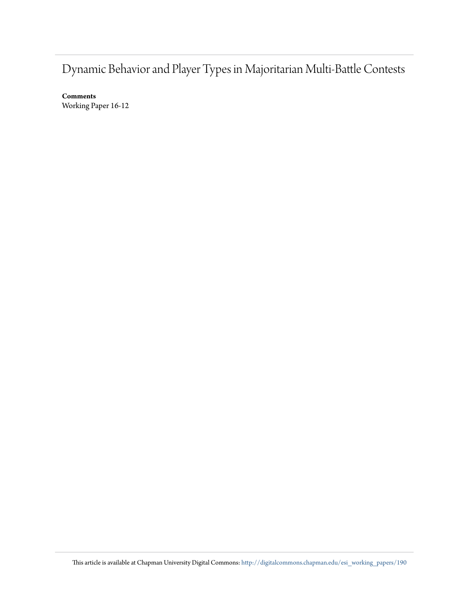## Dynamic Behavior and Player Types in Majoritarian Multi-Battle Contests

**Comments** Working Paper 16-12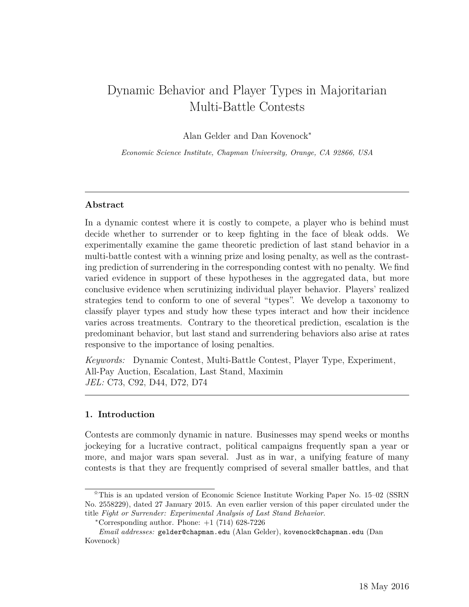### Dynamic Behavior and Player Types in Majoritarian Multi-Battle Contests

Alan Gelder and Dan Kovenock<sup>∗</sup>

*Economic Science Institute, Chapman University, Orange, CA 92866, USA*

#### **Abstract**

In a dynamic contest where it is costly to compete, a player who is behind must decide whether to surrender or to keep fighting in the face of bleak odds. We experimentally examine the game theoretic prediction of last stand behavior in a multi-battle contest with a winning prize and losing penalty, as well as the contrasting prediction of surrendering in the corresponding contest with no penalty. We find varied evidence in support of these hypotheses in the aggregated data, but more conclusive evidence when scrutinizing individual player behavior. Players' realized strategies tend to conform to one of several "types". We develop a taxonomy to classify player types and study how these types interact and how their incidence varies across treatments. Contrary to the theoretical prediction, escalation is the predominant behavior, but last stand and surrendering behaviors also arise at rates responsive to the importance of losing penalties.

*Keywords:* Dynamic Contest, Multi-Battle Contest, Player Type, Experiment, All-Pay Auction, Escalation, Last Stand, Maximin *JEL:* C73, C92, D44, D72, D74

#### **1. Introduction**

Contests are commonly dynamic in nature. Businesses may spend weeks or months jockeying for a lucrative contract, political campaigns frequently span a year or more, and major wars span several. Just as in war, a unifying feature of many contests is that they are frequently comprised of several smaller battles, and that

<sup>✩</sup>This is an updated version of Economic Science Institute Working Paper No. 15–02 (SSRN No. 2558229), dated 27 January 2015. An even earlier version of this paper circulated under the title *Fight or Surrender: Experimental Analysis of Last Stand Behavior*.

 $*$ Corresponding author. Phone:  $+1$  (714) 628-7226

*Email addresses:* gelder@chapman.edu (Alan Gelder), kovenock@chapman.edu (Dan Kovenock)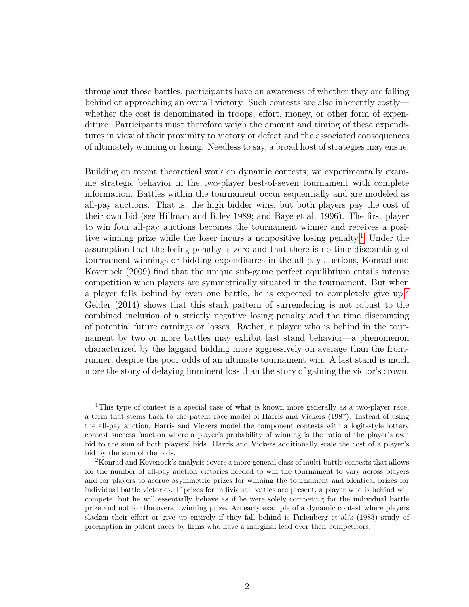throughout those battles, participants have an awareness of whether they are falling behind or approaching an overall victory. Such contests are also inherently costly whether the cost is denominated in troops, effort, money, or other form of expenditure. Participants must therefore weigh the amount and timing of these expenditures in view of their proximity to victory or defeat and the associated consequences of ultimately winning or losing. Needless to say, a broad host of strategies may ensue.

Building on recent theoretical work on dynamic contests, we experimentally examine strategic behavior in the two-player best-of-seven tournament with complete information. Battles within the tournament occur sequentially and are modeled as all-pay auctions. That is, the high bidder wins, but both players pay the cost of their own bid (see Hillman and Riley 1989; and Baye et al. 1996). The first player to win four all-pay auctions becomes the tournament winner and receives a positive winning prize while the loser incurs a nonpositive losing penalty.[1](#page-3-0) Under the assumption that the losing penalty is zero and that there is no time discounting of tournament winnings or bidding expenditures in the all-pay auctions, Konrad and Kovenock (2009) find that the unique sub-game perfect equilibrium entails intense competition when players are symmetrically situated in the tournament. But when a player falls behind by even one battle, he is expected to completely give up.<sup>[2](#page-3-1)</sup> Gelder (2014) shows that this stark pattern of surrendering is not robust to the combined inclusion of a strictly negative losing penalty and the time discounting of potential future earnings or losses. Rather, a player who is behind in the tournament by two or more battles may exhibit last stand behavior—a phenomenon characterized by the laggard bidding more aggressively on average than the frontrunner, despite the poor odds of an ultimate tournament win. A last stand is much more the story of delaying imminent loss than the story of gaining the victor's crown.

<span id="page-3-0"></span><sup>1</sup>This type of contest is a special case of what is known more generally as a two-player race, a term that stems back to the patent race model of Harris and Vickers (1987). Instead of using the all-pay auction, Harris and Vickers model the component contests with a logit-style lottery contest success function where a player's probability of winning is the ratio of the player's own bid to the sum of both players' bids. Harris and Vickers additionally scale the cost of a player's bid by the sum of the bids.

<span id="page-3-1"></span><sup>2</sup>Konrad and Kovenock's analysis covers a more general class of multi-battle contests that allows for the number of all-pay auction victories needed to win the tournament to vary across players and for players to accrue asymmetric prizes for winning the tournament and identical prizes for individual battle victories. If prizes for individual battles are present, a player who is behind will compete, but he will essentially behave as if he were solely competing for the individual battle prize and not for the overall winning prize. An early example of a dynamic contest where players slacken their effort or give up entirely if they fall behind is Fudenberg et al.'s (1983) study of preemption in patent races by firms who have a marginal lead over their competitors.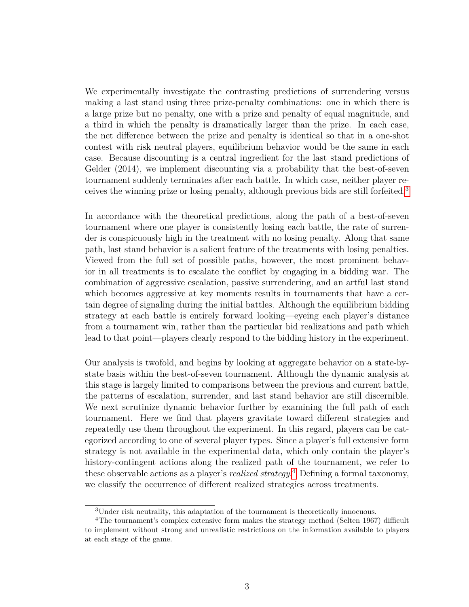We experimentally investigate the contrasting predictions of surrendering versus making a last stand using three prize-penalty combinations: one in which there is a large prize but no penalty, one with a prize and penalty of equal magnitude, and a third in which the penalty is dramatically larger than the prize. In each case, the net difference between the prize and penalty is identical so that in a one-shot contest with risk neutral players, equilibrium behavior would be the same in each case. Because discounting is a central ingredient for the last stand predictions of Gelder (2014), we implement discounting via a probability that the best-of-seven tournament suddenly terminates after each battle. In which case, neither player receives the winning prize or losing penalty, although previous bids are still forfeited.[3](#page-4-0)

In accordance with the theoretical predictions, along the path of a best-of-seven tournament where one player is consistently losing each battle, the rate of surrender is conspicuously high in the treatment with no losing penalty. Along that same path, last stand behavior is a salient feature of the treatments with losing penalties. Viewed from the full set of possible paths, however, the most prominent behavior in all treatments is to escalate the conflict by engaging in a bidding war. The combination of aggressive escalation, passive surrendering, and an artful last stand which becomes aggressive at key moments results in tournaments that have a certain degree of signaling during the initial battles. Although the equilibrium bidding strategy at each battle is entirely forward looking—eyeing each player's distance from a tournament win, rather than the particular bid realizations and path which lead to that point—players clearly respond to the bidding history in the experiment.

Our analysis is twofold, and begins by looking at aggregate behavior on a state-bystate basis within the best-of-seven tournament. Although the dynamic analysis at this stage is largely limited to comparisons between the previous and current battle, the patterns of escalation, surrender, and last stand behavior are still discernible. We next scrutinize dynamic behavior further by examining the full path of each tournament. Here we find that players gravitate toward different strategies and repeatedly use them throughout the experiment. In this regard, players can be categorized according to one of several player types. Since a player's full extensive form strategy is not available in the experimental data, which only contain the player's history-contingent actions along the realized path of the tournament, we refer to these observable actions as a player's *realized strategy*. [4](#page-4-1) Defining a formal taxonomy, we classify the occurrence of different realized strategies across treatments.

<span id="page-4-1"></span><span id="page-4-0"></span><sup>3</sup>Under risk neutrality, this adaptation of the tournament is theoretically innocuous.

<sup>4</sup>The tournament's complex extensive form makes the strategy method (Selten 1967) difficult to implement without strong and unrealistic restrictions on the information available to players at each stage of the game.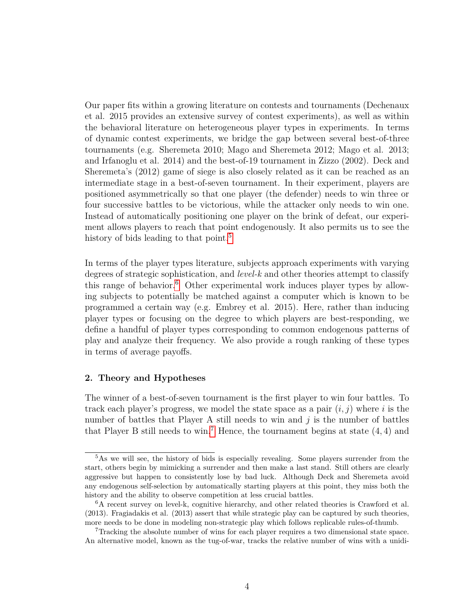Our paper fits within a growing literature on contests and tournaments (Dechenaux et al. 2015 provides an extensive survey of contest experiments), as well as within the behavioral literature on heterogeneous player types in experiments. In terms of dynamic contest experiments, we bridge the gap between several best-of-three tournaments (e.g. Sheremeta 2010; Mago and Sheremeta 2012; Mago et al. 2013; and Irfanoglu et al. 2014) and the best-of-19 tournament in Zizzo (2002). Deck and Sheremeta's (2012) game of siege is also closely related as it can be reached as an intermediate stage in a best-of-seven tournament. In their experiment, players are positioned asymmetrically so that one player (the defender) needs to win three or four successive battles to be victorious, while the attacker only needs to win one. Instead of automatically positioning one player on the brink of defeat, our experiment allows players to reach that point endogenously. It also permits us to see the history of bids leading to that point.<sup>[5](#page-5-0)</sup>

In terms of the player types literature, subjects approach experiments with varying degrees of strategic sophistication, and *level-k* and other theories attempt to classify this range of behavior.<sup>[6](#page-5-1)</sup> Other experimental work induces player types by allowing subjects to potentially be matched against a computer which is known to be programmed a certain way (e.g. Embrey et al. 2015). Here, rather than inducing player types or focusing on the degree to which players are best-responding, we define a handful of player types corresponding to common endogenous patterns of play and analyze their frequency. We also provide a rough ranking of these types in terms of average payoffs.

#### **2. Theory and Hypotheses**

The winner of a best-of-seven tournament is the first player to win four battles. To track each player's progress, we model the state space as a pair  $(i, j)$  where *i* is the number of battles that Player A still needs to win and  $j$  is the number of battles that Player B still needs to win.<sup>[7](#page-5-2)</sup> Hence, the tournament begins at state  $(4, 4)$  and

<span id="page-5-0"></span><sup>5</sup>As we will see, the history of bids is especially revealing. Some players surrender from the start, others begin by mimicking a surrender and then make a last stand. Still others are clearly aggressive but happen to consistently lose by bad luck. Although Deck and Sheremeta avoid any endogenous self-selection by automatically starting players at this point, they miss both the history and the ability to observe competition at less crucial battles.

<span id="page-5-1"></span><sup>6</sup>A recent survey on level-k, cognitive hierarchy, and other related theories is Crawford et al. (2013). Fragiadakis et al. (2013) assert that while strategic play can be captured by such theories, more needs to be done in modeling non-strategic play which follows replicable rules-of-thumb.

<span id="page-5-2"></span><sup>7</sup>Tracking the absolute number of wins for each player requires a two dimensional state space. An alternative model, known as the tug-of-war, tracks the relative number of wins with a unidi-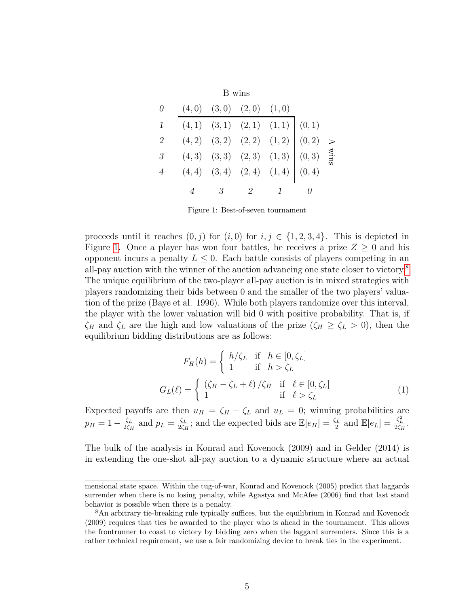<span id="page-6-0"></span>

|              |                                                                                                                                                                                                                                                                        | B wins                          |  |  |
|--------------|------------------------------------------------------------------------------------------------------------------------------------------------------------------------------------------------------------------------------------------------------------------------|---------------------------------|--|--|
| $\theta$     |                                                                                                                                                                                                                                                                        | $(4,0)$ $(3,0)$ $(2,0)$ $(1,0)$ |  |  |
| $\mathbf{1}$ | $\begin{array}{ cccc } \hline (4,1) & (3,1) & (2,1) & (1,1) & (0,1) \\ (4,2) & (3,2) & (2,2) & (1,2) & (0,2) & \rightarrow \\ (4,3) & (3,3) & (2,3) & (1,3) & (0,3) & \stackrel{\text{S1}}{\mathrm{E}} \\ (4,4) & (3,4) & (2,4) & (1,4) & (0,4) \\ \hline \end{array}$ |                                 |  |  |
| 2            |                                                                                                                                                                                                                                                                        |                                 |  |  |
| 3            |                                                                                                                                                                                                                                                                        |                                 |  |  |
|              |                                                                                                                                                                                                                                                                        |                                 |  |  |
|              |                                                                                                                                                                                                                                                                        | $3 \qquad 2$                    |  |  |

Figure 1: Best-of-seven tournament

proceeds until it reaches  $(0, j)$  for  $(i, 0)$  for  $i, j \in \{1, 2, 3, 4\}$ . This is depicted in Figure [1.](#page-6-0) Once a player has won four battles, he receives a prize  $Z \geq 0$  and his opponent incurs a penalty  $L \leq 0$ . Each battle consists of players competing in an all-pay auction with the winner of the auction advancing one state closer to victory.[8](#page-6-1) The unique equilibrium of the two-player all-pay auction is in mixed strategies with players randomizing their bids between 0 and the smaller of the two players' valuation of the prize (Baye et al. 1996). While both players randomize over this interval, the player with the lower valuation will bid 0 with positive probability. That is, if  $\zeta$ *<sup>H</sup>* and  $\zeta$ <sup>L</sup> are the high and low valuations of the prize ( $\zeta$ <sup>H</sup>  $\geq \zeta$ <sup>L</sup> > 0), then the equilibrium bidding distributions are as follows:

$$
F_H(h) = \begin{cases} h/\zeta_L & \text{if } h \in [0, \zeta_L] \\ 1 & \text{if } h > \zeta_L \end{cases}
$$

$$
G_L(\ell) = \begin{cases} (\zeta_H - \zeta_L + \ell)/\zeta_H & \text{if } \ell \in [0, \zeta_L] \\ 1 & \text{if } \ell > \zeta_L \end{cases}
$$
(1)

Expected payoffs are then  $u_H = \zeta_H - \zeta_L$  and  $u_L = 0$ ; winning probabilities are  $p_H = 1 - \frac{\zeta_L}{2\zeta_L}$  $\frac{\zeta_L}{2\zeta_H}$  and  $p_L = \frac{\zeta_L}{2\zeta_H}$  $\frac{\zeta_L}{2\zeta_H}$ ; and the expected bids are  $\mathbb{E}[e_H] = \frac{\zeta_L}{2}$  and  $\mathbb{E}[e_L] = \frac{\zeta_L^2}{2\zeta_H}$ .

The bulk of the analysis in Konrad and Kovenock (2009) and in Gelder (2014) is in extending the one-shot all-pay auction to a dynamic structure where an actual

mensional state space. Within the tug-of-war, Konrad and Kovenock (2005) predict that laggards surrender when there is no losing penalty, while Agastya and McAfee (2006) find that last stand behavior is possible when there is a penalty.

<span id="page-6-1"></span><sup>&</sup>lt;sup>8</sup>An arbitrary tie-breaking rule typically suffices, but the equilibrium in Konrad and Kovenock (2009) requires that ties be awarded to the player who is ahead in the tournament. This allows the frontrunner to coast to victory by bidding zero when the laggard surrenders. Since this is a rather technical requirement, we use a fair randomizing device to break ties in the experiment.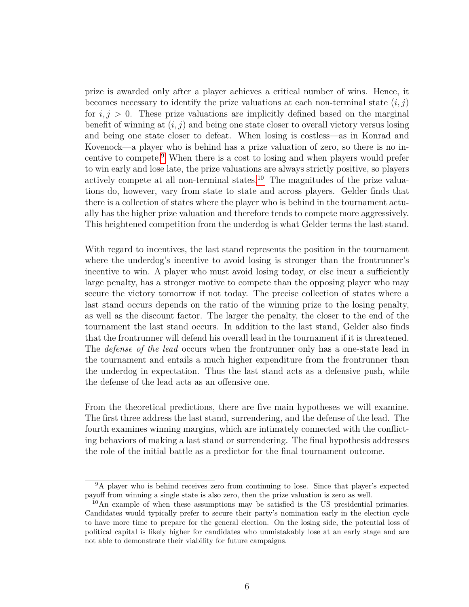prize is awarded only after a player achieves a critical number of wins. Hence, it becomes necessary to identify the prize valuations at each non-terminal state  $(i, j)$ for  $i, j > 0$ . These prize valuations are implicitly defined based on the marginal benefit of winning at (*i, j*) and being one state closer to overall victory versus losing and being one state closer to defeat. When losing is costless—as in Konrad and Kovenock—a player who is behind has a prize valuation of zero, so there is no incentive to compete.[9](#page-7-0) When there is a cost to losing and when players would prefer to win early and lose late, the prize valuations are always strictly positive, so players actively compete at all non-terminal states.<sup>[10](#page-7-1)</sup> The magnitudes of the prize valuations do, however, vary from state to state and across players. Gelder finds that there is a collection of states where the player who is behind in the tournament actually has the higher prize valuation and therefore tends to compete more aggressively. This heightened competition from the underdog is what Gelder terms the last stand.

With regard to incentives, the last stand represents the position in the tournament where the underdog's incentive to avoid losing is stronger than the frontrunner's incentive to win. A player who must avoid losing today, or else incur a sufficiently large penalty, has a stronger motive to compete than the opposing player who may secure the victory tomorrow if not today. The precise collection of states where a last stand occurs depends on the ratio of the winning prize to the losing penalty, as well as the discount factor. The larger the penalty, the closer to the end of the tournament the last stand occurs. In addition to the last stand, Gelder also finds that the frontrunner will defend his overall lead in the tournament if it is threatened. The *defense of the lead* occurs when the frontrunner only has a one-state lead in the tournament and entails a much higher expenditure from the frontrunner than the underdog in expectation. Thus the last stand acts as a defensive push, while the defense of the lead acts as an offensive one.

From the theoretical predictions, there are five main hypotheses we will examine. The first three address the last stand, surrendering, and the defense of the lead. The fourth examines winning margins, which are intimately connected with the conflicting behaviors of making a last stand or surrendering. The final hypothesis addresses the role of the initial battle as a predictor for the final tournament outcome.

<span id="page-7-2"></span><span id="page-7-0"></span><sup>9</sup>A player who is behind receives zero from continuing to lose. Since that player's expected payoff from winning a single state is also zero, then the prize valuation is zero as well.

<span id="page-7-1"></span> $10$ An example of when these assumptions may be satisfied is the US presidential primaries. Candidates would typically prefer to secure their party's nomination early in the election cycle to have more time to prepare for the general election. On the losing side, the potential loss of political capital is likely higher for candidates who unmistakably lose at an early stage and are not able to demonstrate their viability for future campaigns.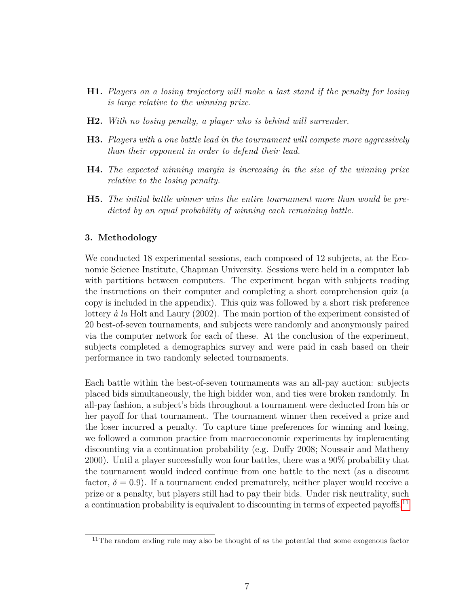- **H1.** *Players on a losing trajectory will make a last stand if the penalty for losing is large relative to the winning prize.*
- <span id="page-8-2"></span>**H2.** *With no losing penalty, a player who is behind will surrender.*
- <span id="page-8-1"></span>**H3.** *Players with a one battle lead in the tournament will compete more aggressively than their opponent in order to defend their lead.*
- <span id="page-8-3"></span>**H4.** *The expected winning margin is increasing in the size of the winning prize relative to the losing penalty.*
- <span id="page-8-4"></span>**H5.** *The initial battle winner wins the entire tournament more than would be predicted by an equal probability of winning each remaining battle.*

#### **3. Methodology**

We conducted 18 experimental sessions, each composed of 12 subjects, at the Economic Science Institute, Chapman University. Sessions were held in a computer lab with partitions between computers. The experiment began with subjects reading the instructions on their computer and completing a short comprehension quiz (a copy is included in the appendix). This quiz was followed by a short risk preference lottery *à la* Holt and Laury (2002). The main portion of the experiment consisted of 20 best-of-seven tournaments, and subjects were randomly and anonymously paired via the computer network for each of these. At the conclusion of the experiment, subjects completed a demographics survey and were paid in cash based on their performance in two randomly selected tournaments.

Each battle within the best-of-seven tournaments was an all-pay auction: subjects placed bids simultaneously, the high bidder won, and ties were broken randomly. In all-pay fashion, a subject's bids throughout a tournament were deducted from his or her payoff for that tournament. The tournament winner then received a prize and the loser incurred a penalty. To capture time preferences for winning and losing, we followed a common practice from macroeconomic experiments by implementing discounting via a continuation probability (e.g. Duffy 2008; Noussair and Matheny 2000). Until a player successfully won four battles, there was a 90% probability that the tournament would indeed continue from one battle to the next (as a discount factor,  $\delta = 0.9$ ). If a tournament ended prematurely, neither player would receive a prize or a penalty, but players still had to pay their bids. Under risk neutrality, such a continuation probability is equivalent to discounting in terms of expected payoffs.<sup>[11](#page-8-0)</sup>

<span id="page-8-0"></span> $11$ The random ending rule may also be thought of as the potential that some exogenous factor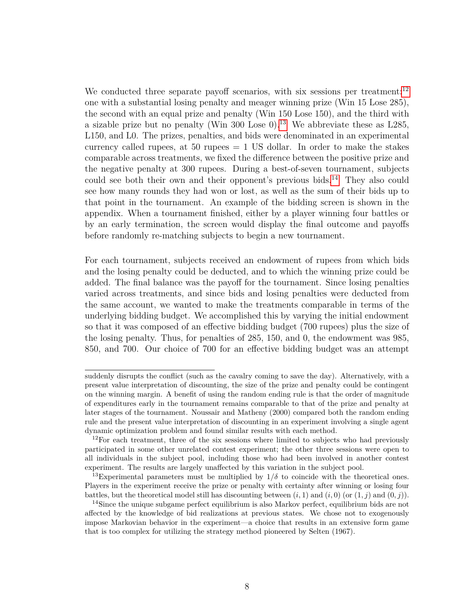We conducted three separate payoff scenarios, with six sessions per treatment:<sup>[12](#page-9-0)</sup> one with a substantial losing penalty and meager winning prize (Win 15 Lose 285), the second with an equal prize and penalty (Win 150 Lose 150), and the third with a sizable prize but no penalty (Win 300 Lose 0).<sup>[13](#page-9-1)</sup> We abbreviate these as L285, L150, and L0. The prizes, penalties, and bids were denominated in an experimental currency called rupees, at 50 rupees  $= 1$  US dollar. In order to make the stakes comparable across treatments, we fixed the difference between the positive prize and the negative penalty at 300 rupees. During a best-of-seven tournament, subjects could see both their own and their opponent's previous bids.<sup>[14](#page-9-2)</sup> They also could see how many rounds they had won or lost, as well as the sum of their bids up to that point in the tournament. An example of the bidding screen is shown in the appendix. When a tournament finished, either by a player winning four battles or by an early termination, the screen would display the final outcome and payoffs before randomly re-matching subjects to begin a new tournament.

For each tournament, subjects received an endowment of rupees from which bids and the losing penalty could be deducted, and to which the winning prize could be added. The final balance was the payoff for the tournament. Since losing penalties varied across treatments, and since bids and losing penalties were deducted from the same account, we wanted to make the treatments comparable in terms of the underlying bidding budget. We accomplished this by varying the initial endowment so that it was composed of an effective bidding budget (700 rupees) plus the size of the losing penalty. Thus, for penalties of 285, 150, and 0, the endowment was 985, 850, and 700. Our choice of 700 for an effective bidding budget was an attempt

suddenly disrupts the conflict (such as the cavalry coming to save the day). Alternatively, with a present value interpretation of discounting, the size of the prize and penalty could be contingent on the winning margin. A benefit of using the random ending rule is that the order of magnitude of expenditures early in the tournament remains comparable to that of the prize and penalty at later stages of the tournament. Noussair and Matheny (2000) compared both the random ending rule and the present value interpretation of discounting in an experiment involving a single agent dynamic optimization problem and found similar results with each method.

<span id="page-9-0"></span> $12$ For each treatment, three of the six sessions where limited to subjects who had previously participated in some other unrelated contest experiment; the other three sessions were open to all individuals in the subject pool, including those who had been involved in another contest experiment. The results are largely unaffected by this variation in the subject pool.

<span id="page-9-1"></span><sup>&</sup>lt;sup>13</sup>Experimental parameters must be multiplied by  $1/\delta$  to coincide with the theoretical ones. Players in the experiment receive the prize or penalty with certainty after winning or losing four battles, but the theoretical model still has discounting between  $(i, 1)$  and  $(i, 0)$  (or  $(1, j)$  and  $(0, j)$ ).

<span id="page-9-2"></span><sup>&</sup>lt;sup>14</sup>Since the unique subgame perfect equilibrium is also Markov perfect, equilibrium bids are not affected by the knowledge of bid realizations at previous states. We chose not to exogenously impose Markovian behavior in the experiment—a choice that results in an extensive form game that is too complex for utilizing the strategy method pioneered by Selten (1967).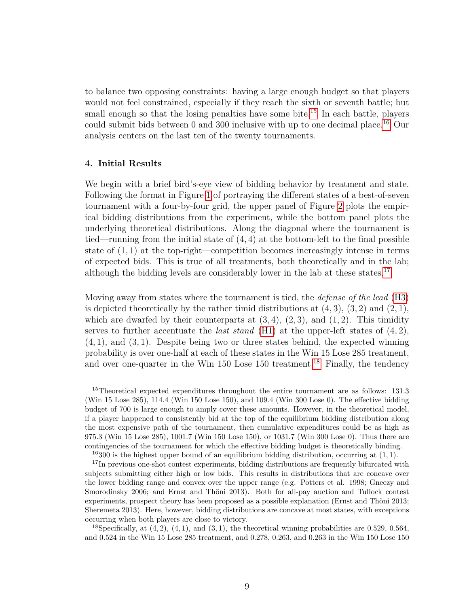to balance two opposing constraints: having a large enough budget so that players would not feel constrained, especially if they reach the sixth or seventh battle; but small enough so that the losing penalties have some bite.<sup>[15](#page-10-0)</sup> In each battle, players could submit bids between 0 and 300 inclusive with up to one decimal place.<sup>[16](#page-10-1)</sup> Our analysis centers on the last ten of the twenty tournaments.

#### **4. Initial Results**

We begin with a brief bird's-eye view of bidding behavior by treatment and state. Following the format in Figure [1](#page-6-0) of portraying the different states of a best-of-seven tournament with a four-by-four grid, the upper panel of Figure [2](#page-11-0) plots the empirical bidding distributions from the experiment, while the bottom panel plots the underlying theoretical distributions. Along the diagonal where the tournament is tied—running from the initial state of (4*,* 4) at the bottom-left to the final possible state of (1*,* 1) at the top-right—competition becomes increasingly intense in terms of expected bids. This is true of all treatments, both theoretically and in the lab; although the bidding levels are considerably lower in the lab at these states.<sup>[17](#page-10-2)</sup>

Moving away from states where the tournament is tied, the *defense of the lead* [\(H3\)](#page-8-1) is depicted theoretically by the rather timid distributions at (4*,* 3), (3*,* 2) and (2*,* 1), which are dwarfed by their counterparts at  $(3, 4)$ ,  $(2, 3)$ , and  $(1, 2)$ . This timidity serves to further accentuate the *last stand* [\(H1\)](#page-7-2) at the upper-left states of (4*,* 2), (4*,* 1), and (3*,* 1). Despite being two or three states behind, the expected winning probability is over one-half at each of these states in the Win 15 Lose 285 treatment, and over one-quarter in the Win 150 Lose 150 treatment.<sup>[18](#page-10-3)</sup> Finally, the tendency

<span id="page-10-0"></span><sup>&</sup>lt;sup>15</sup>Theoretical expected expenditures throughout the entire tournament are as follows: 131.3 (Win 15 Lose 285), 114.4 (Win 150 Lose 150), and 109.4 (Win 300 Lose 0). The effective bidding budget of 700 is large enough to amply cover these amounts. However, in the theoretical model, if a player happened to consistently bid at the top of the equilibrium bidding distribution along the most expensive path of the tournament, then cumulative expenditures could be as high as 975.3 (Win 15 Lose 285), 1001.7 (Win 150 Lose 150), or 1031.7 (Win 300 Lose 0). Thus there are contingencies of the tournament for which the effective bidding budget is theoretically binding.

<span id="page-10-2"></span><span id="page-10-1"></span><sup>16</sup>300 is the highest upper bound of an equilibrium bidding distribution, occurring at (1*,* 1).

<sup>&</sup>lt;sup>17</sup>In previous one-shot contest experiments, bidding distributions are frequently bifurcated with subjects submitting either high or low bids. This results in distributions that are concave over the lower bidding range and convex over the upper range (e.g. Potters et al. 1998; Gneezy and Smorodinsky 2006; and Ernst and Thöni 2013). Both for all-pay auction and Tullock contest experiments, prospect theory has been proposed as a possible explanation (Ernst and Thöni 2013; Sheremeta 2013). Here, however, bidding distributions are concave at most states, with exceptions occurring when both players are close to victory.

<span id="page-10-3"></span><sup>&</sup>lt;sup>18</sup>Specifically, at  $(4, 2)$ ,  $(4, 1)$ , and  $(3, 1)$ , the theoretical winning probabilities are 0.529, 0.564, and 0.524 in the Win 15 Lose 285 treatment, and 0.278, 0.263, and 0.263 in the Win 150 Lose 150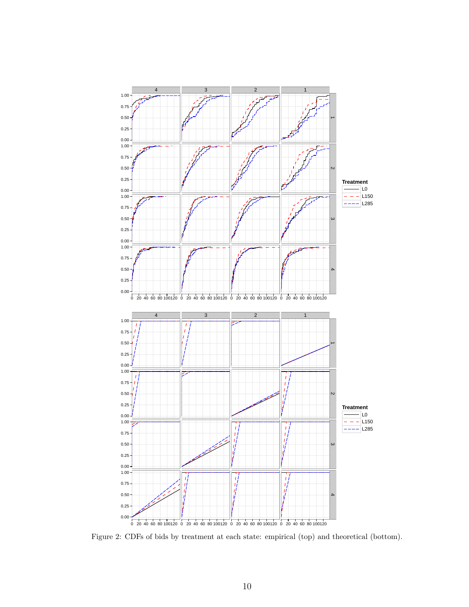<span id="page-11-0"></span>

Figure 2: CDFs of bids by treatment at each state: empirical (top) and theoretical (bottom).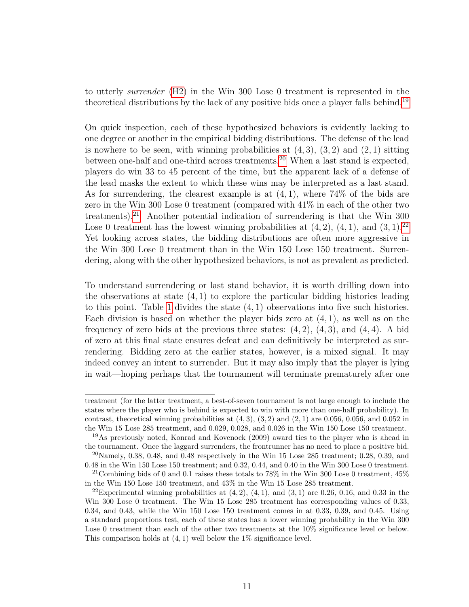to utterly *surrender* [\(H2\)](#page-8-2) in the Win 300 Lose 0 treatment is represented in the theoretical distributions by the lack of any positive bids once a player falls behind.[19](#page-12-0)

On quick inspection, each of these hypothesized behaviors is evidently lacking to one degree or another in the empirical bidding distributions. The defense of the lead is nowhere to be seen, with winning probabilities at (4*,* 3), (3*,* 2) and (2*,* 1) sitting between one-half and one-third across treatments.<sup>[20](#page-12-1)</sup> When a last stand is expected, players do win 33 to 45 percent of the time, but the apparent lack of a defense of the lead masks the extent to which these wins may be interpreted as a last stand. As for surrendering, the clearest example is at (4*,* 1), where 74% of the bids are zero in the Win 300 Lose 0 treatment (compared with 41% in each of the other two treatments).<sup>[21](#page-12-2)</sup> Another potential indication of surrendering is that the Win  $300$ Lose 0 treatment has the lowest winning probabilities at  $(4, 2)$ ,  $(4, 1)$ , and  $(3, 1)$ .<sup>[22](#page-12-3)</sup> Yet looking across states, the bidding distributions are often more aggressive in the Win 300 Lose 0 treatment than in the Win 150 Lose 150 treatment. Surrendering, along with the other hypothesized behaviors, is not as prevalent as predicted.

To understand surrendering or last stand behavior, it is worth drilling down into the observations at state (4*,* 1) to explore the particular bidding histories leading to this point. Table [1](#page-13-0) divides the state (4*,* 1) observations into five such histories. Each division is based on whether the player bids zero at (4*,* 1), as well as on the frequency of zero bids at the previous three states: (4*,* 2), (4*,* 3), and (4*,* 4). A bid of zero at this final state ensures defeat and can definitively be interpreted as surrendering. Bidding zero at the earlier states, however, is a mixed signal. It may indeed convey an intent to surrender. But it may also imply that the player is lying in wait—hoping perhaps that the tournament will terminate prematurely after one

treatment (for the latter treatment, a best-of-seven tournament is not large enough to include the states where the player who is behind is expected to win with more than one-half probability). In contrast, theoretical winning probabilities at  $(4,3)$ ,  $(3,2)$  and  $(2,1)$  are 0.056, 0.056, and 0.052 in the Win 15 Lose 285 treatment, and 0.029, 0.028, and 0.026 in the Win 150 Lose 150 treatment.

<span id="page-12-0"></span><sup>19</sup>As previously noted, Konrad and Kovenock (2009) award ties to the player who is ahead in the tournament. Once the laggard surrenders, the frontrunner has no need to place a positive bid.

<span id="page-12-1"></span> $^{20}$ Namely, 0.38, 0.48, and 0.48 respectively in the Win 15 Lose 285 treatment; 0.28, 0.39, and 0.48 in the Win 150 Lose 150 treatment; and 0.32, 0.44, and 0.40 in the Win 300 Lose 0 treatment.

<span id="page-12-2"></span><sup>&</sup>lt;sup>21</sup> Combining bids of 0 and 0.1 raises these totals to 78% in the Win 300 Lose 0 treatment,  $45\%$ in the Win 150 Lose 150 treatment, and 43% in the Win 15 Lose 285 treatment.

<span id="page-12-3"></span><sup>&</sup>lt;sup>22</sup>Experimental winning probabilities at  $(4, 2)$ ,  $(4, 1)$ , and  $(3, 1)$  are 0.26, 0.16, and 0.33 in the Win 300 Lose 0 treatment. The Win 15 Lose 285 treatment has corresponding values of 0.33, 0.34, and 0.43, while the Win 150 Lose 150 treatment comes in at 0.33, 0.39, and 0.45. Using a standard proportions test, each of these states has a lower winning probability in the Win 300 Lose 0 treatment than each of the other two treatments at the  $10\%$  significance level or below. This comparison holds at (4*,* 1) well below the 1% significance level.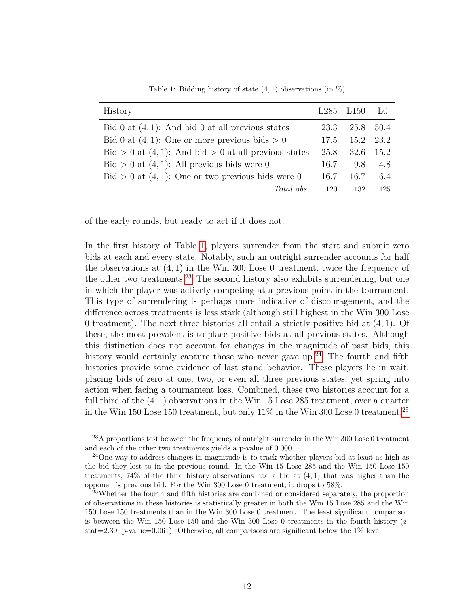<span id="page-13-0"></span>

| History                                                             |      | $L285$ $L150$ $L0$ |     |
|---------------------------------------------------------------------|------|--------------------|-----|
| Bid 0 at $(4, 1)$ : And bid 0 at all previous states                | 23.3 | 25.8 50.4          |     |
| Bid 0 at $(4, 1)$ : One or more previous bids > 0                   |      | 17.5 15.2 23.2     |     |
| $\text{Bid} > 0$ at $(4, 1)$ : And bid $> 0$ at all previous states |      | 25.8 32.6 15.2     |     |
| $\text{Bid} > 0$ at $(4, 1)$ : All previous bids were 0             | 16.7 | 9.8                | 4.8 |
| $\text{Bid} > 0$ at $(4, 1)$ : One or two previous bids were 0      | 16.7 | 16.7               | 6.4 |
| Total obs.                                                          | 120  | 132                | 125 |

Table 1: Bidding history of state (4*,* 1) observations (in %)

of the early rounds, but ready to act if it does not.

In the first history of Table [1,](#page-13-0) players surrender from the start and submit zero bids at each and every state. Notably, such an outright surrender accounts for half the observations at (4*,* 1) in the Win 300 Lose 0 treatment, twice the frequency of the other two treatments.[23](#page-13-1) The second history also exhibits surrendering, but one in which the player was actively competing at a previous point in the tournament. This type of surrendering is perhaps more indicative of discouragement, and the difference across treatments is less stark (although still highest in the Win 300 Lose 0 treatment). The next three histories all entail a strictly positive bid at (4*,* 1). Of these, the most prevalent is to place positive bids at all previous states. Although this distinction does not account for changes in the magnitude of past bids, this history would certainly capture those who never gave up.<sup>[24](#page-13-2)</sup> The fourth and fifth histories provide some evidence of last stand behavior. These players lie in wait, placing bids of zero at one, two, or even all three previous states, yet spring into action when facing a tournament loss. Combined, these two histories account for a full third of the (4*,* 1) observations in the Win 15 Lose 285 treatment, over a quarter in the Win 150 Lose 150 treatment, but only  $11\%$  in the Win 300 Lose 0 treatment.<sup>[25](#page-13-3)</sup>

<span id="page-13-1"></span><sup>&</sup>lt;sup>23</sup>A proportions test between the frequency of outright surrender in the Win 300 Lose 0 treatment and each of the other two treatments yields a p-value of 0.000.

<span id="page-13-2"></span> $24$ One way to address changes in magnitude is to track whether players bid at least as high as the bid they lost to in the previous round. In the Win 15 Lose 285 and the Win 150 Lose 150 treatments, 74% of the third history observations had a bid at (4*,* 1) that was higher than the opponent's previous bid. For the Win 300 Lose 0 treatment, it drops to 58%.

<span id="page-13-3"></span><sup>&</sup>lt;sup>25</sup>Whether the fourth and fifth histories are combined or considered separately, the proportion of observations in these histories is statistically greater in both the Win 15 Lose 285 and the Win 150 Lose 150 treatments than in the Win 300 Lose 0 treatment. The least significant comparison is between the Win 150 Lose 150 and the Win 300 Lose 0 treatments in the fourth history (zstat=2.39, p-value=0.061). Otherwise, all comparisons are significant below the  $1\%$  level.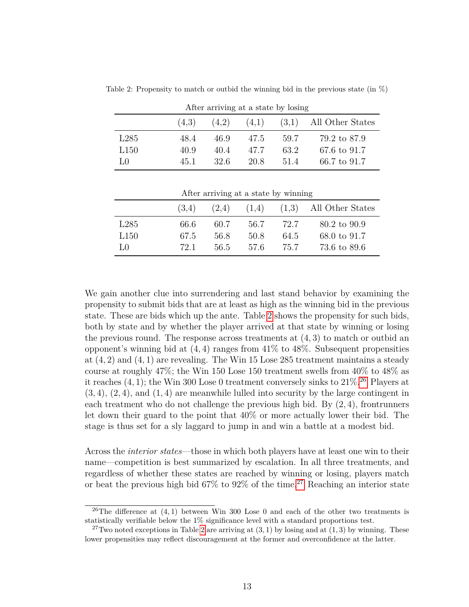| After arriving at a state by losing |       |       |       |      |                          |  |
|-------------------------------------|-------|-------|-------|------|--------------------------|--|
|                                     | (4,3) | (4,2) | (4,1) |      | $(3,1)$ All Other States |  |
| L285                                | 48.4  | 46.9  | 47.5  | 59.7 | 79.2 to 87.9             |  |
| L150                                | 40.9  | 40.4  | 47.7  | 63.2 | 67.6 to 91.7             |  |
| LΩ                                  | 45.1  | 32 6  | 20.8  | 51.4 | 66.7 to 91.7             |  |

<span id="page-14-0"></span>Table 2: Propensity to match or outbid the winning bid in the previous state (in  $\%$ )

| After arriving at a state by winning |  |  |  |  |  |
|--------------------------------------|--|--|--|--|--|
|--------------------------------------|--|--|--|--|--|

|                  | (3,4) | (2,4) | (1,4) |      | $(1,3)$ All Other States |
|------------------|-------|-------|-------|------|--------------------------|
| L285             | 66.6  | 60.7  | 56.7  | 72.7 | 80.2 to 90.9             |
| L <sub>150</sub> | 67.5  | 56.8  | 50.8  | 64.5 | 68.0 to 91.7             |
| Lθ               | 72.1  | 56.5  | 57.6  | 75.7 | 73.6 to 89.6             |

We gain another clue into surrendering and last stand behavior by examining the propensity to submit bids that are at least as high as the winning bid in the previous state. These are bids which up the ante. Table [2](#page-14-0) shows the propensity for such bids, both by state and by whether the player arrived at that state by winning or losing the previous round. The response across treatments at (4*,* 3) to match or outbid an opponent's winning bid at (4*,* 4) ranges from 41% to 48%. Subsequent propensities at (4*,* 2) and (4*,* 1) are revealing. The Win 15 Lose 285 treatment maintains a steady course at roughly 47%; the Win 150 Lose 150 treatment swells from 40% to 48% as it reaches (4*,* 1); the Win 300 Lose 0 treatment conversely sinks to 21%. [26](#page-14-1) Players at (3*,* 4), (2*,* 4), and (1*,* 4) are meanwhile lulled into security by the large contingent in each treatment who do not challenge the previous high bid. By (2*,* 4), frontrunners let down their guard to the point that 40% or more actually lower their bid. The stage is thus set for a sly laggard to jump in and win a battle at a modest bid.

Across the *interior states*—those in which both players have at least one win to their name—competition is best summarized by escalation. In all three treatments, and regardless of whether these states are reached by winning or losing, players match or beat the previous high bid 67% to 92% of the time.<sup>[27](#page-14-2)</sup> Reaching an interior state

<span id="page-14-1"></span><sup>&</sup>lt;sup>26</sup>The difference at  $(4,1)$  between Win 300 Lose 0 and each of the other two treatments is statistically verifiable below the 1% significance level with a standard proportions test.

<span id="page-14-2"></span><sup>&</sup>lt;sup>27</sup>Two noted exceptions in Table [2](#page-14-0) are arriving at  $(3, 1)$  by losing and at  $(1, 3)$  by winning. These lower propensities may reflect discouragement at the former and overconfidence at the latter.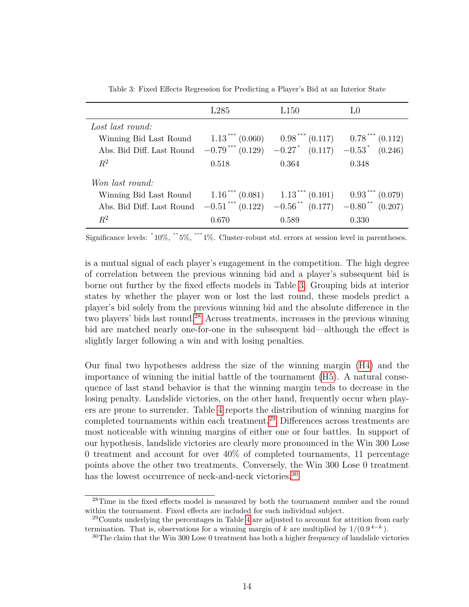<span id="page-15-0"></span>

|                                                                                      | L285  | L150                                               | LO    |
|--------------------------------------------------------------------------------------|-------|----------------------------------------------------|-------|
| Lost last round:                                                                     |       |                                                    |       |
| Winning Bid Last Round                                                               |       | $1.13***(0.060)$ $0.98***(0.117)$ $0.78***(0.112)$ |       |
| Abs. Bid Diff. Last Round $-0.79***$ $(0.129)$ $-0.27*$ $(0.117)$ $-0.53*$ $(0.246)$ |       |                                                    |       |
| $R^2$                                                                                | 0.518 | 0.364                                              | 0.348 |
| Won last round:                                                                      |       |                                                    |       |
| Winning Bid Last Round                                                               |       | $1.16***(0.081)$ $1.13***(0.101)$ $0.93***(0.079)$ |       |
| Abs. Bid Diff. Last Round $-0.51***$ (0.122) $-0.56**$ (0.177) $-0.80**$ (0.207)     |       |                                                    |       |
| $R^2$                                                                                | 0.670 | 0.589                                              | 0.330 |

Table 3: Fixed Effects Regression for Predicting a Player's Bid at an Interior State

Significance levels: <sup>\*</sup>10%, <sup>\*\*</sup>5%, <sup>\*\*\*</sup>1%. Cluster-robust std. errors at session level in parentheses.

is a mutual signal of each player's engagement in the competition. The high degree of correlation between the previous winning bid and a player's subsequent bid is borne out further by the fixed effects models in Table [3.](#page-15-0) Grouping bids at interior states by whether the player won or lost the last round, these models predict a player's bid solely from the previous winning bid and the absolute difference in the two players' bids last round.[28](#page-15-1) Across treatments, increases in the previous winning bid are matched nearly one-for-one in the subsequent bid—although the effect is slightly larger following a win and with losing penalties.

Our final two hypotheses address the size of the winning margin [\(H4\)](#page-8-3) and the importance of winning the initial battle of the tournament [\(H5\)](#page-8-4). A natural consequence of last stand behavior is that the winning margin tends to decrease in the losing penalty. Landslide victories, on the other hand, frequently occur when players are prone to surrender. Table [4](#page-16-0) reports the distribution of winning margins for completed tournaments within each treatment.[29](#page-15-2) Differences across treatments are most noticeable with winning margins of either one or four battles. In support of our hypothesis, landslide victories are clearly more pronounced in the Win 300 Lose 0 treatment and account for over 40% of completed tournaments, 11 percentage points above the other two treatments. Conversely, the Win 300 Lose 0 treatment has the lowest occurrence of neck-and-neck victories.<sup>[30](#page-15-3)</sup>

<span id="page-15-1"></span><sup>&</sup>lt;sup>28</sup>Time in the fixed effects model is measured by both the tournament number and the round within the tournament. Fixed effects are included for each individual subject.

<span id="page-15-2"></span> $^{29}$ Counts underlying the percentages in Table [4](#page-16-0) are adjusted to account for attrition from early termination. That is, observations for a winning margin of *k* are multiplied by  $1/(0.9^{4-k})$ .

<span id="page-15-3"></span> $30$ The claim that the Win 300 Lose 0 treatment has both a higher frequency of landslide victories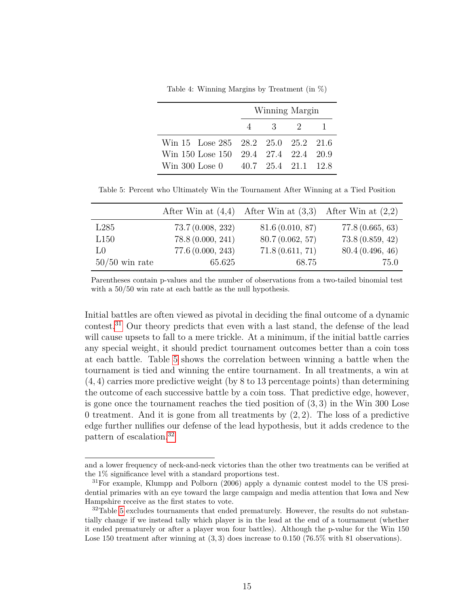Table 4: Winning Margins by Treatment (in %)

<span id="page-16-0"></span>

|                                      | Winning Margin |  |
|--------------------------------------|----------------|--|
|                                      | 4 3 2          |  |
| Win 15 Lose 285 28.2 25.0 25.2 21.6  |                |  |
| Win 150 Lose 150 29.4 27.4 22.4 20.9 |                |  |
| Win 300 Lose $0$ 40.7 25.4 21.1 12.8 |                |  |

<span id="page-16-2"></span>Table 5: Percent who Ultimately Win the Tournament After Winning at a Tied Position

|                  |                  | After Win at $(4,4)$ After Win at $(3,3)$ After Win at $(2,2)$ |                 |
|------------------|------------------|----------------------------------------------------------------|-----------------|
| L285             | 73.7(0.008, 232) | 81.6(0.010, 87)                                                | 77.8(0.665, 63) |
| L150             | 78.8(0.000, 241) | 80.7(0.062, 57)                                                | 73.8(0.859, 42) |
| LO               | 77.6(0.000, 243) | 71.8(0.611, 71)                                                | 80.4(0.496, 46) |
| $50/50$ win rate | 65.625           | 68.75                                                          | 75.0            |

Parentheses contain p-values and the number of observations from a two-tailed binomial test with a  $50/50$  win rate at each battle as the null hypothesis.

Initial battles are often viewed as pivotal in deciding the final outcome of a dynamic contest.[31](#page-16-1) Our theory predicts that even with a last stand, the defense of the lead will cause upsets to fall to a mere trickle. At a minimum, if the initial battle carries any special weight, it should predict tournament outcomes better than a coin toss at each battle. Table [5](#page-16-2) shows the correlation between winning a battle when the tournament is tied and winning the entire tournament. In all treatments, a win at (4*,* 4) carries more predictive weight (by 8 to 13 percentage points) than determining the outcome of each successive battle by a coin toss. That predictive edge, however, is gone once the tournament reaches the tied position of (3*,* 3) in the Win 300 Lose 0 treatment. And it is gone from all treatments by (2*,* 2). The loss of a predictive edge further nullifies our defense of the lead hypothesis, but it adds credence to the pattern of escalation.[32](#page-16-3)

and a lower frequency of neck-and-neck victories than the other two treatments can be verified at the 1% significance level with a standard proportions test.

<span id="page-16-1"></span><sup>&</sup>lt;sup>31</sup>For example, Klumpp and Polborn (2006) apply a dynamic contest model to the US presidential primaries with an eye toward the large campaign and media attention that Iowa and New Hampshire receive as the first states to vote.

<span id="page-16-3"></span> $32$ Table [5](#page-16-2) excludes tournaments that ended prematurely. However, the results do not substantially change if we instead tally which player is in the lead at the end of a tournament (whether it ended prematurely or after a player won four battles). Although the p-value for the Win 150 Lose 150 treatment after winning at  $(3,3)$  does increase to 0.150 (76.5% with 81 observations).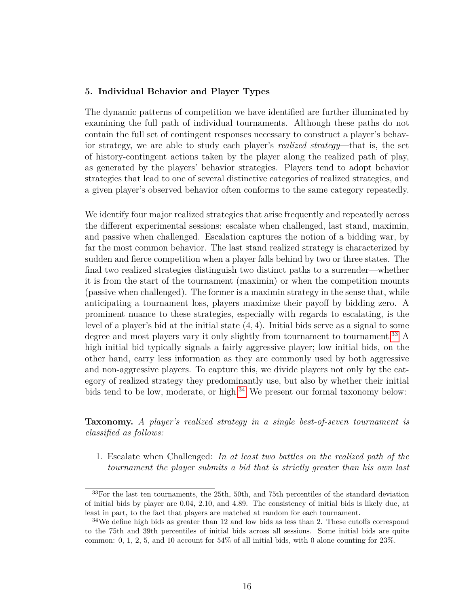#### **5. Individual Behavior and Player Types**

The dynamic patterns of competition we have identified are further illuminated by examining the full path of individual tournaments. Although these paths do not contain the full set of contingent responses necessary to construct a player's behavior strategy, we are able to study each player's *realized strategy*—that is, the set of history-contingent actions taken by the player along the realized path of play, as generated by the players' behavior strategies. Players tend to adopt behavior strategies that lead to one of several distinctive categories of realized strategies, and a given player's observed behavior often conforms to the same category repeatedly.

We identify four major realized strategies that arise frequently and repeatedly across the different experimental sessions: escalate when challenged, last stand, maximin, and passive when challenged. Escalation captures the notion of a bidding war, by far the most common behavior. The last stand realized strategy is characterized by sudden and fierce competition when a player falls behind by two or three states. The final two realized strategies distinguish two distinct paths to a surrender—whether it is from the start of the tournament (maximin) or when the competition mounts (passive when challenged). The former is a maximin strategy in the sense that, while anticipating a tournament loss, players maximize their payoff by bidding zero. A prominent nuance to these strategies, especially with regards to escalating, is the level of a player's bid at the initial state (4*,* 4). Initial bids serve as a signal to some degree and most players vary it only slightly from tournament to tournament.<sup>[33](#page-17-0)</sup> A high initial bid typically signals a fairly aggressive player; low initial bids, on the other hand, carry less information as they are commonly used by both aggressive and non-aggressive players. To capture this, we divide players not only by the category of realized strategy they predominantly use, but also by whether their initial bids tend to be low, moderate, or high.<sup>[34](#page-17-1)</sup> We present our formal taxonomy below:

**Taxonomy.** *A player's realized strategy in a single best-of-seven tournament is classified as follows:*

1. Escalate when Challenged: *In at least two battles on the realized path of the tournament the player submits a bid that is strictly greater than his own last*

<span id="page-17-0"></span> $33$ For the last ten tournaments, the 25th, 50th, and 75th percentiles of the standard deviation of initial bids by player are 0.04, 2.10, and 4.89. The consistency of initial bids is likely due, at least in part, to the fact that players are matched at random for each tournament.

<span id="page-17-1"></span> $34$ We define high bids as greater than 12 and low bids as less than 2. These cutoffs correspond to the 75th and 39th percentiles of initial bids across all sessions. Some initial bids are quite common: 0, 1, 2, 5, and 10 account for 54% of all initial bids, with 0 alone counting for 23%.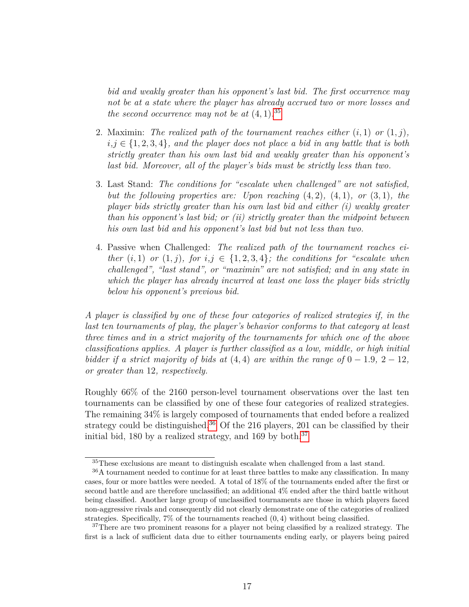*bid and weakly greater than his opponent's last bid. The first occurrence may not be at a state where the player has already accrued two or more losses and the second occurrence may not be at*  $(4, 1)$ .<sup>[35](#page-18-0)</sup>

- 2. Maximin: *The realized path of the tournament reaches either*  $(i, 1)$  *or*  $(1, j)$ *,*  $i, j \in \{1, 2, 3, 4\}$ *, and the player does not place a bid in any battle that is both strictly greater than his own last bid and weakly greater than his opponent's last bid. Moreover, all of the player's bids must be strictly less than two.*
- 3. Last Stand: *The conditions for "escalate when challenged" are not satisfied, but the following properties are: Upon reaching* (4*,* 2)*,* (4*,* 1)*, or* (3*,* 1)*, the player bids strictly greater than his own last bid and either (i) weakly greater than his opponent's last bid; or (ii) strictly greater than the midpoint between his own last bid and his opponent's last bid but not less than two.*
- 4. Passive when Challenged: *The realized path of the tournament reaches either*  $(i,1)$  *or*  $(1,j)$ *, for*  $i,j \in \{1,2,3,4\}$ *; the conditions for "escalate when challenged", "last stand", or "maximin" are not satisfied; and in any state in which the player has already incurred at least one loss the player bids strictly below his opponent's previous bid.*

*A player is classified by one of these four categories of realized strategies if, in the last ten tournaments of play, the player's behavior conforms to that category at least three times and in a strict majority of the tournaments for which one of the above classifications applies. A player is further classified as a low, middle, or high initial bidder if a strict majority of bids at*  $(4, 4)$  *are within the range of*  $0 - 1.9$ *,*  $2 - 12$ *, or greater than* 12*, respectively.*

Roughly 66% of the 2160 person-level tournament observations over the last ten tournaments can be classified by one of these four categories of realized strategies. The remaining 34% is largely composed of tournaments that ended before a realized strategy could be distinguished.<sup>[36](#page-18-1)</sup> Of the 216 players, 201 can be classified by their initial bid, 180 by a realized strategy, and 169 by both.<sup>[37](#page-18-2)</sup>

<span id="page-18-1"></span><span id="page-18-0"></span><sup>&</sup>lt;sup>35</sup>These exclusions are meant to distinguish escalate when challenged from a last stand.

<sup>&</sup>lt;sup>36</sup>A tournament needed to continue for at least three battles to make any classification. In many cases, four or more battles were needed. A total of 18% of the tournaments ended after the first or second battle and are therefore unclassified; an additional 4% ended after the third battle without being classified. Another large group of unclassified tournaments are those in which players faced non-aggressive rivals and consequently did not clearly demonstrate one of the categories of realized strategies. Specifically, 7% of the tournaments reached (0*,* 4) without being classified.

<span id="page-18-2"></span><sup>&</sup>lt;sup>37</sup>There are two prominent reasons for a player not being classified by a realized strategy. The first is a lack of sufficient data due to either tournaments ending early, or players being paired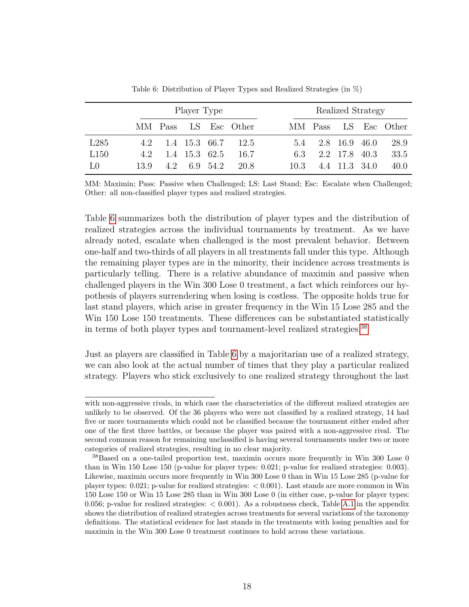<span id="page-19-0"></span>

|                  | Player Type |               |              |  |                                                  |      |                   | Realized Strategy |                      |
|------------------|-------------|---------------|--------------|--|--------------------------------------------------|------|-------------------|-------------------|----------------------|
|                  |             |               |              |  | MM Pass LS Esc Other                             |      |                   |                   | MM Pass LS Esc Other |
| L <sub>285</sub> |             |               |              |  | $4.2 \quad 1.4 \quad 15.3 \quad 66.7 \quad 12.5$ |      | 5.4 2.8 16.9 46.0 |                   | 28.9                 |
| L150             | 42          | 1.4 15.3 62.5 |              |  | 16.7                                             | 6.3  |                   | 2.2 17.8 40.3     | 33.5                 |
| LO               | 13.9        |               | 4.2 6.9 54.2 |  | 20.8                                             | 10.3 |                   | 4.4 11.3 34.0     | 40.0                 |

Table 6: Distribution of Player Types and Realized Strategies (in %)

MM: Maximin; Pass: Passive when Challenged; LS: Last Stand; Esc: Escalate when Challenged; Other: all non-classified player types and realized strategies.

Table [6](#page-19-0) summarizes both the distribution of player types and the distribution of realized strategies across the individual tournaments by treatment. As we have already noted, escalate when challenged is the most prevalent behavior. Between one-half and two-thirds of all players in all treatments fall under this type. Although the remaining player types are in the minority, their incidence across treatments is particularly telling. There is a relative abundance of maximin and passive when challenged players in the Win 300 Lose 0 treatment, a fact which reinforces our hypothesis of players surrendering when losing is costless. The opposite holds true for last stand players, which arise in greater frequency in the Win 15 Lose 285 and the Win 150 Lose 150 treatments. These differences can be substantiated statistically in terms of both player types and tournament-level realized strategies.<sup>[38](#page-19-1)</sup>

Just as players are classified in Table [6](#page-19-0) by a majoritarian use of a realized strategy, we can also look at the actual number of times that they play a particular realized strategy. Players who stick exclusively to one realized strategy throughout the last

with non-aggressive rivals, in which case the characteristics of the different realized strategies are unlikely to be observed. Of the 36 players who were not classified by a realized strategy, 14 had five or more tournaments which could not be classified because the tournament either ended after one of the first three battles, or because the player was paired with a non-aggressive rival. The second common reason for remaining unclassified is having several tournaments under two or more categories of realized strategies, resulting in no clear majority.

<span id="page-19-1"></span><sup>&</sup>lt;sup>38</sup>Based on a one-tailed proportion test, maximin occurs more frequently in Win 300 Lose 0 than in Win 150 Lose 150 (p-value for player types: 0.021; p-value for realized strategies: 0.003). Likewise, maximin occurs more frequently in Win 300 Lose 0 than in Win 15 Lose 285 (p-value for player types: 0.021; p-value for realized strategies: < 0.001). Last stands are more common in Win 150 Lose 150 or Win 15 Lose 285 than in Win 300 Lose 0 (in either case, p-value for player types: 0.056; p-value for realized strategies:  $< 0.001$ ). As a robustness check, Table [A.1](#page-24-0) in the appendix shows the distribution of realized strategies across treatments for several variations of the taxonomy definitions. The statistical evidence for last stands in the treatments with losing penalties and for maximin in the Win 300 Lose 0 treatment continues to hold across these variations.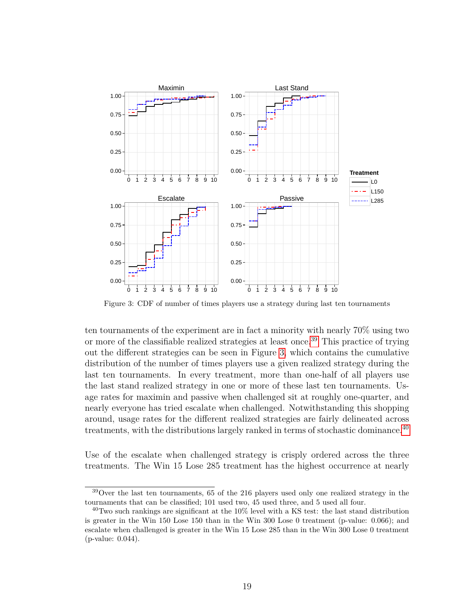<span id="page-20-1"></span>

Figure 3: CDF of number of times players use a strategy during last ten tournaments

ten tournaments of the experiment are in fact a minority with nearly 70% using two or more of the classifiable realized strategies at least once.<sup>[39](#page-20-0)</sup> This practice of trying out the different strategies can be seen in Figure [3,](#page-20-1) which contains the cumulative distribution of the number of times players use a given realized strategy during the last ten tournaments. In every treatment, more than one-half of all players use the last stand realized strategy in one or more of these last ten tournaments. Usage rates for maximin and passive when challenged sit at roughly one-quarter, and nearly everyone has tried escalate when challenged. Notwithstanding this shopping around, usage rates for the different realized strategies are fairly delineated across treatments, with the distributions largely ranked in terms of stochastic dominance.<sup>[40](#page-20-2)</sup>

Use of the escalate when challenged strategy is crisply ordered across the three treatments. The Win 15 Lose 285 treatment has the highest occurrence at nearly

<span id="page-20-0"></span><sup>39</sup>Over the last ten tournaments, 65 of the 216 players used only one realized strategy in the tournaments that can be classified; 101 used two, 45 used three, and 5 used all four.

<span id="page-20-2"></span> $^{40}$ Two such rankings are significant at the 10% level with a KS test: the last stand distribution is greater in the Win 150 Lose 150 than in the Win 300 Lose 0 treatment (p-value: 0.066); and escalate when challenged is greater in the Win 15 Lose 285 than in the Win 300 Lose 0 treatment (p-value: 0.044).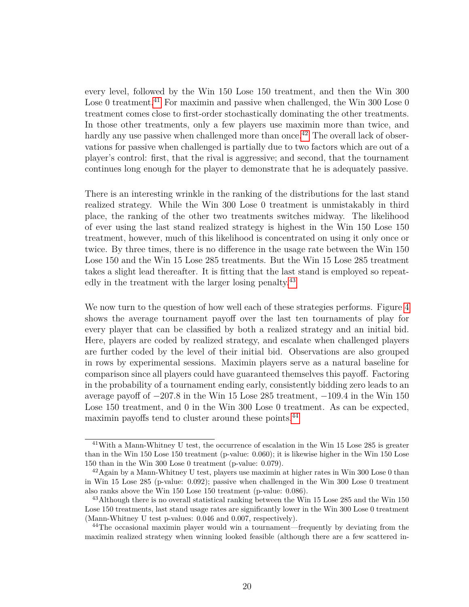every level, followed by the Win 150 Lose 150 treatment, and then the Win 300 Lose 0 treatment.<sup>[41](#page-21-0)</sup> For maximin and passive when challenged, the Win 300 Lose 0 treatment comes close to first-order stochastically dominating the other treatments. In those other treatments, only a few players use maximin more than twice, and hardly any use passive when challenged more than once.<sup>[42](#page-21-1)</sup> The overall lack of observations for passive when challenged is partially due to two factors which are out of a player's control: first, that the rival is aggressive; and second, that the tournament continues long enough for the player to demonstrate that he is adequately passive.

There is an interesting wrinkle in the ranking of the distributions for the last stand realized strategy. While the Win 300 Lose 0 treatment is unmistakably in third place, the ranking of the other two treatments switches midway. The likelihood of ever using the last stand realized strategy is highest in the Win 150 Lose 150 treatment, however, much of this likelihood is concentrated on using it only once or twice. By three times, there is no difference in the usage rate between the Win 150 Lose 150 and the Win 15 Lose 285 treatments. But the Win 15 Lose 285 treatment takes a slight lead thereafter. It is fitting that the last stand is employed so repeat-edly in the treatment with the larger losing penalty.<sup>[43](#page-21-2)</sup>

We now turn to the question of how well each of these strategies performs. Figure [4](#page-22-0) shows the average tournament payoff over the last ten tournaments of play for every player that can be classified by both a realized strategy and an initial bid. Here, players are coded by realized strategy, and escalate when challenged players are further coded by the level of their initial bid. Observations are also grouped in rows by experimental sessions. Maximin players serve as a natural baseline for comparison since all players could have guaranteed themselves this payoff. Factoring in the probability of a tournament ending early, consistently bidding zero leads to an average payoff of −207*.*8 in the Win 15 Lose 285 treatment, −109*.*4 in the Win 150 Lose 150 treatment, and 0 in the Win 300 Lose 0 treatment. As can be expected, maximin payoffs tend to cluster around these points.<sup>[44](#page-21-3)</sup>

<span id="page-21-0"></span><sup>&</sup>lt;sup>41</sup>With a Mann-Whitney U test, the occurrence of escalation in the Win 15 Lose 285 is greater than in the Win 150 Lose 150 treatment (p-value: 0.060); it is likewise higher in the Win 150 Lose 150 than in the Win 300 Lose 0 treatment (p-value: 0.079).

<span id="page-21-1"></span> $^{42}$ Again by a Mann-Whitney U test, players use maximin at higher rates in Win 300 Lose 0 than in Win 15 Lose 285 (p-value: 0.092); passive when challenged in the Win 300 Lose 0 treatment also ranks above the Win 150 Lose 150 treatment (p-value: 0.086).

<span id="page-21-2"></span><sup>&</sup>lt;sup>43</sup>Although there is no overall statistical ranking between the Win  $15$  Lose 285 and the Win  $150$ Lose 150 treatments, last stand usage rates are significantly lower in the Win 300 Lose 0 treatment (Mann-Whitney U test p-values: 0.046 and 0.007, respectively).

<span id="page-21-3"></span><sup>&</sup>lt;sup>44</sup>The occasional maximin player would win a tournament—frequently by deviating from the maximin realized strategy when winning looked feasible (although there are a few scattered in-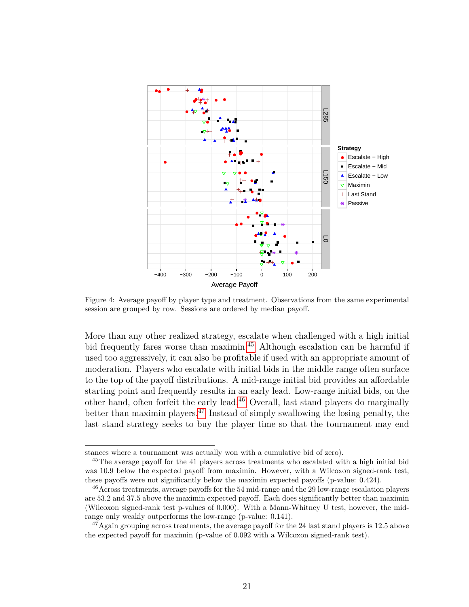<span id="page-22-0"></span>

Figure 4: Average payoff by player type and treatment. Observations from the same experimental session are grouped by row. Sessions are ordered by median payoff.

More than any other realized strategy, escalate when challenged with a high initial bid frequently fares worse than maximin.<sup>[45](#page-22-1)</sup> Although escalation can be harmful if used too aggressively, it can also be profitable if used with an appropriate amount of moderation. Players who escalate with initial bids in the middle range often surface to the top of the payoff distributions. A mid-range initial bid provides an affordable starting point and frequently results in an early lead. Low-range initial bids, on the other hand, often forfeit the early lead.[46](#page-22-2) Overall, last stand players do marginally better than maximin players.[47](#page-22-3) Instead of simply swallowing the losing penalty, the last stand strategy seeks to buy the player time so that the tournament may end

stances where a tournament was actually won with a cumulative bid of zero).

<span id="page-22-1"></span><sup>&</sup>lt;sup>45</sup>The average payoff for the 41 players across treatments who escalated with a high initial bid was 10.9 below the expected payoff from maximin. However, with a Wilcoxon signed-rank test, these payoffs were not significantly below the maximin expected payoffs (p-value: 0.424).

<span id="page-22-2"></span><sup>&</sup>lt;sup>46</sup> Across treatments, average payoffs for the 54 mid-range and the 29 low-range escalation players are 53.2 and 37.5 above the maximin expected payoff. Each does significantly better than maximin (Wilcoxon signed-rank test p-values of 0.000). With a Mann-Whitney U test, however, the midrange only weakly outperforms the low-range (p-value: 0.141).

<span id="page-22-3"></span> $^{47}$ Again grouping across treatments, the average payoff for the 24 last stand players is 12.5 above the expected payoff for maximin (p-value of 0.092 with a Wilcoxon signed-rank test).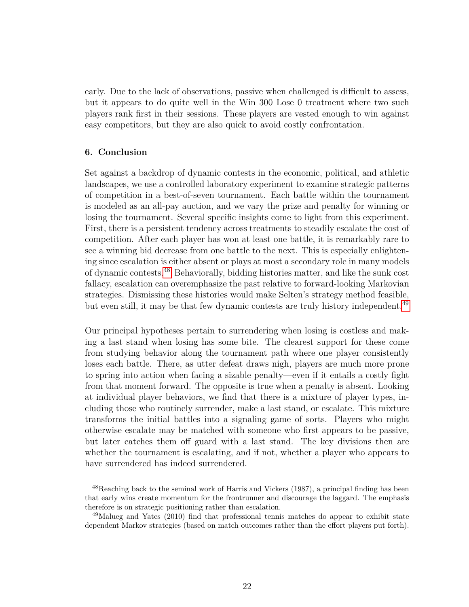early. Due to the lack of observations, passive when challenged is difficult to assess, but it appears to do quite well in the Win 300 Lose 0 treatment where two such players rank first in their sessions. These players are vested enough to win against easy competitors, but they are also quick to avoid costly confrontation.

### **6. Conclusion**

Set against a backdrop of dynamic contests in the economic, political, and athletic landscapes, we use a controlled laboratory experiment to examine strategic patterns of competition in a best-of-seven tournament. Each battle within the tournament is modeled as an all-pay auction, and we vary the prize and penalty for winning or losing the tournament. Several specific insights come to light from this experiment. First, there is a persistent tendency across treatments to steadily escalate the cost of competition. After each player has won at least one battle, it is remarkably rare to see a winning bid decrease from one battle to the next. This is especially enlightening since escalation is either absent or plays at most a secondary role in many models of dynamic contests.[48](#page-23-0) Behaviorally, bidding histories matter, and like the sunk cost fallacy, escalation can overemphasize the past relative to forward-looking Markovian strategies. Dismissing these histories would make Selten's strategy method feasible, but even still, it may be that few dynamic contests are truly history independent.<sup>[49](#page-23-1)</sup>

Our principal hypotheses pertain to surrendering when losing is costless and making a last stand when losing has some bite. The clearest support for these come from studying behavior along the tournament path where one player consistently loses each battle. There, as utter defeat draws nigh, players are much more prone to spring into action when facing a sizable penalty—even if it entails a costly fight from that moment forward. The opposite is true when a penalty is absent. Looking at individual player behaviors, we find that there is a mixture of player types, including those who routinely surrender, make a last stand, or escalate. This mixture transforms the initial battles into a signaling game of sorts. Players who might otherwise escalate may be matched with someone who first appears to be passive, but later catches them off guard with a last stand. The key divisions then are whether the tournament is escalating, and if not, whether a player who appears to have surrendered has indeed surrendered.

<span id="page-23-0"></span><sup>48</sup>Reaching back to the seminal work of Harris and Vickers (1987), a principal finding has been that early wins create momentum for the frontrunner and discourage the laggard. The emphasis therefore is on strategic positioning rather than escalation.

<span id="page-23-1"></span><sup>49</sup>Malueg and Yates (2010) find that professional tennis matches do appear to exhibit state dependent Markov strategies (based on match outcomes rather than the effort players put forth).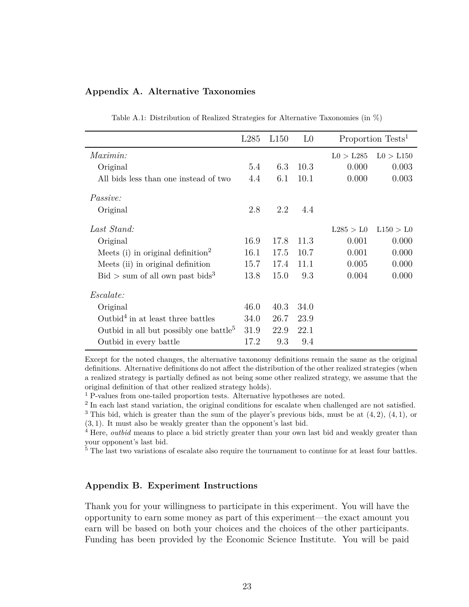#### <span id="page-24-0"></span>**Appendix A. Alternative Taxonomies**

|                                                    | L <sub>285</sub> | L150 | L <sub>0</sub> |           | Proportion Tests <sup>1</sup> |
|----------------------------------------------------|------------------|------|----------------|-----------|-------------------------------|
| <i>Maximin:</i>                                    |                  |      |                | L0 > L285 | L0 > L150                     |
| Original                                           | 5.4              | 6.3  | 10.3           | 0.000     | 0.003                         |
| All bids less than one instead of two              | 4.4              | 6.1  | 10.1           | 0.000     | 0.003                         |
| <i>Passive:</i>                                    |                  |      |                |           |                               |
| Original                                           | 2.8              | 2.2  | 4.4            |           |                               |
| Last Stand:                                        |                  |      |                | L285 > L0 | L150 > L0                     |
| Original                                           | 16.9             | 17.8 | 11.3           | 0.001     | 0.000                         |
| Meets (i) in original definition <sup>2</sup>      | 16.1             | 17.5 | 10.7           | 0.001     | 0.000                         |
| Meets (ii) in original definition                  | 15.7             | 17.4 | 11.1           | 0.005     | 0.000                         |
| $\text{Bid} > \text{sum of all own past bids}^3$   | 13.8             | 15.0 | 9.3            | 0.004     | 0.000                         |
| <i>Escalate:</i>                                   |                  |      |                |           |                               |
| Original                                           | 46.0             | 40.3 | 34.0           |           |                               |
| Outbid <sup>4</sup> in at least three battles      | 34.0             | 26.7 | 23.9           |           |                               |
| Outbid in all but possibly one battle <sup>5</sup> | 31.9             | 22.9 | 22.1           |           |                               |
| Outbid in every battle                             | 17.2             | 9.3  | 9.4            |           |                               |

Table A.1: Distribution of Realized Strategies for Alternative Taxonomies (in %)

Except for the noted changes, the alternative taxonomy definitions remain the same as the original definitions. Alternative definitions do not affect the distribution of the other realized strategies (when a realized strategy is partially defined as not being some other realized strategy, we assume that the original definition of that other realized strategy holds).

<sup>1</sup> P-values from one-tailed proportion tests. Alternative hypotheses are noted.

<sup>2</sup> In each last stand variation, the original conditions for escalate when challenged are not satisfied. <sup>3</sup> This bid, which is greater than the sum of the player's previous bids, must be at  $(4, 2)$ ,  $(4, 1)$ , or (3*,* 1). It must also be weakly greater than the opponent's last bid.

<sup>4</sup> Here, *outbid* means to place a bid strictly greater than your own last bid and weakly greater than

your opponent's last bid.

 $5$  The last two variations of escalate also require the tournament to continue for at least four battles.

#### **Appendix B. Experiment Instructions**

Thank you for your willingness to participate in this experiment. You will have the opportunity to earn some money as part of this experiment—the exact amount you earn will be based on both your choices and the choices of the other participants. Funding has been provided by the Economic Science Institute. You will be paid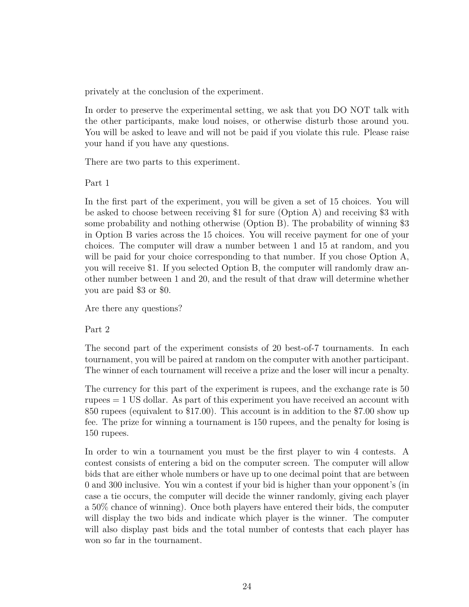privately at the conclusion of the experiment.

In order to preserve the experimental setting, we ask that you DO NOT talk with the other participants, make loud noises, or otherwise disturb those around you. You will be asked to leave and will not be paid if you violate this rule. Please raise your hand if you have any questions.

There are two parts to this experiment.

Part 1

In the first part of the experiment, you will be given a set of 15 choices. You will be asked to choose between receiving \$1 for sure (Option A) and receiving \$3 with some probability and nothing otherwise (Option B). The probability of winning \$3 in Option B varies across the 15 choices. You will receive payment for one of your choices. The computer will draw a number between 1 and 15 at random, and you will be paid for your choice corresponding to that number. If you chose Option A, you will receive \$1. If you selected Option B, the computer will randomly draw another number between 1 and 20, and the result of that draw will determine whether you are paid \$3 or \$0.

Are there any questions?

Part 2

The second part of the experiment consists of 20 best-of-7 tournaments. In each tournament, you will be paired at random on the computer with another participant. The winner of each tournament will receive a prize and the loser will incur a penalty.

The currency for this part of the experiment is rupees, and the exchange rate is 50 rupees = 1 US dollar. As part of this experiment you have received an account with 850 rupees (equivalent to \$17.00). This account is in addition to the \$7.00 show up fee. The prize for winning a tournament is 150 rupees, and the penalty for losing is 150 rupees.

In order to win a tournament you must be the first player to win 4 contests. A contest consists of entering a bid on the computer screen. The computer will allow bids that are either whole numbers or have up to one decimal point that are between 0 and 300 inclusive. You win a contest if your bid is higher than your opponent's (in case a tie occurs, the computer will decide the winner randomly, giving each player a 50% chance of winning). Once both players have entered their bids, the computer will display the two bids and indicate which player is the winner. The computer will also display past bids and the total number of contests that each player has won so far in the tournament.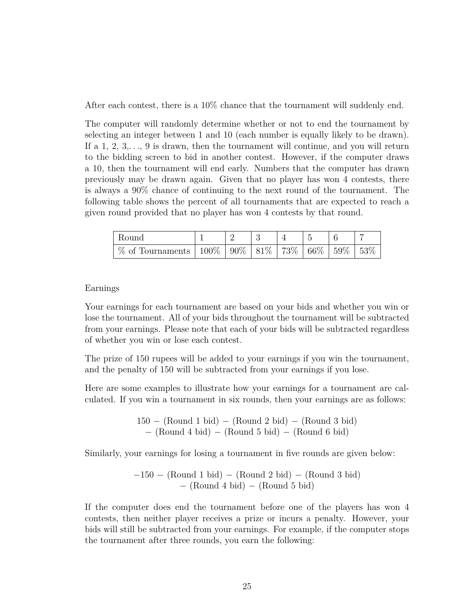After each contest, there is a 10% chance that the tournament will suddenly end.

The computer will randomly determine whether or not to end the tournament by selecting an integer between 1 and 10 (each number is equally likely to be drawn). If a 1, 2, 3,*. . .*, 9 is drawn, then the tournament will continue, and you will return to the bidding screen to bid in another contest. However, if the computer draws a 10, then the tournament will end early. Numbers that the computer has drawn previously may be drawn again. Given that no player has won 4 contests, there is always a 90% chance of continuing to the next round of the tournament. The following table shows the percent of all tournaments that are expected to reach a given round provided that no player has won 4 contests by that round.

| - Round                                                                 |  |  |  |      |
|-------------------------------------------------------------------------|--|--|--|------|
| % of Tournaments   $100\%$   $90\%$   $81\%$   $73\%$   $66\%$   $59\%$ |  |  |  | 153% |

#### Earnings

Your earnings for each tournament are based on your bids and whether you win or lose the tournament. All of your bids throughout the tournament will be subtracted from your earnings. Please note that each of your bids will be subtracted regardless of whether you win or lose each contest.

The prize of 150 rupees will be added to your earnings if you win the tournament, and the penalty of 150 will be subtracted from your earnings if you lose.

Here are some examples to illustrate how your earnings for a tournament are calculated. If you win a tournament in six rounds, then your earnings are as follows:

> 150 − (Round 1 bid) − (Round 2 bid) − (Round 3 bid) − (Round 4 bid) − (Round 5 bid) − (Round 6 bid)

Similarly, your earnings for losing a tournament in five rounds are given below:

−150 − (Round 1 bid) − (Round 2 bid) − (Round 3 bid) − (Round 4 bid) − (Round 5 bid)

If the computer does end the tournament before one of the players has won 4 contests, then neither player receives a prize or incurs a penalty. However, your bids will still be subtracted from your earnings. For example, if the computer stops the tournament after three rounds, you earn the following: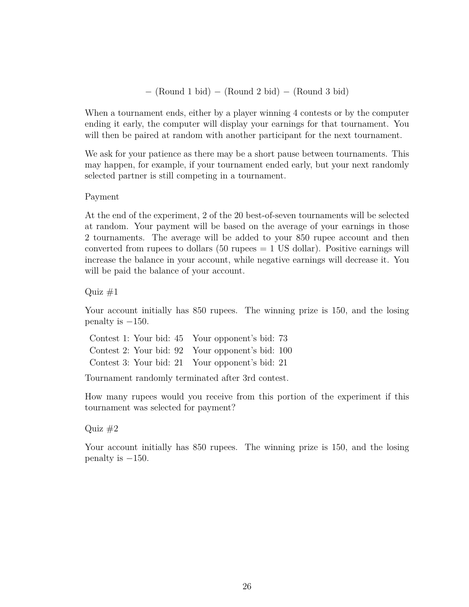− (Round 1 bid) − (Round 2 bid) − (Round 3 bid)

When a tournament ends, either by a player winning 4 contests or by the computer ending it early, the computer will display your earnings for that tournament. You will then be paired at random with another participant for the next tournament.

We ask for your patience as there may be a short pause between tournaments. This may happen, for example, if your tournament ended early, but your next randomly selected partner is still competing in a tournament.

#### Payment

At the end of the experiment, 2 of the 20 best-of-seven tournaments will be selected at random. Your payment will be based on the average of your earnings in those 2 tournaments. The average will be added to your 850 rupee account and then converted from rupees to dollars  $(50 \text{ rupees} = 1 \text{ US dollar})$ . Positive earnings will increase the balance in your account, while negative earnings will decrease it. You will be paid the balance of your account.

Quiz  $#1$ 

Your account initially has 850 rupees. The winning prize is 150, and the losing penalty is  $-150$ .

Contest 1: Your bid: 45 Your opponent's bid: 73 Contest 2: Your bid: 92 Your opponent's bid: 100 Contest 3: Your bid: 21 Your opponent's bid: 21

Tournament randomly terminated after 3rd contest.

How many rupees would you receive from this portion of the experiment if this tournament was selected for payment?

### Quiz  $#2$

Your account initially has 850 rupees. The winning prize is 150, and the losing penalty is  $-150$ .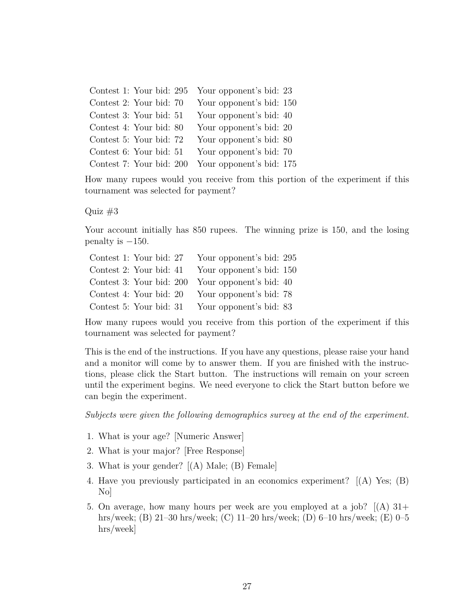| Contest 1: Your bid: 295 | Your opponent's bid: 23  |
|--------------------------|--------------------------|
| Contest 2: Your bid: 70  | Your opponent's bid: 150 |
| Contest 3: Your bid: 51  | Your opponent's bid: 40  |
| Contest 4: Your bid: 80  | Your opponent's bid: 20  |
| Contest 5: Your bid: 72  | Your opponent's bid: 80  |
| Contest 6: Your bid: 51  | Your opponent's bid: 70  |
| Contest 7: Your bid: 200 | Your opponent's bid: 175 |

How many rupees would you receive from this portion of the experiment if this tournament was selected for payment?

Quiz  $#3$ 

Your account initially has 850 rupees. The winning prize is 150, and the losing penalty is  $-150$ .

| Contest 1: Your bid: 27  | Your opponent's bid: 295 |
|--------------------------|--------------------------|
| Contest 2: Your bid: 41  | Your opponent's bid: 150 |
| Contest 3: Your bid: 200 | Your opponent's bid: 40  |
| Contest 4: Your bid: 20  | Your opponent's bid: 78  |
| Contest 5: Your bid: 31  | Your opponent's bid: 83  |

How many rupees would you receive from this portion of the experiment if this tournament was selected for payment?

This is the end of the instructions. If you have any questions, please raise your hand and a monitor will come by to answer them. If you are finished with the instructions, please click the Start button. The instructions will remain on your screen until the experiment begins. We need everyone to click the Start button before we can begin the experiment.

*Subjects were given the following demographics survey at the end of the experiment.*

- 1. What is your age? [Numeric Answer]
- 2. What is your major? [Free Response]
- 3. What is your gender? [(A) Male; (B) Female]
- 4. Have you previously participated in an economics experiment? [(A) Yes; (B) No]
- 5. On average, how many hours per week are you employed at a job?  $(A)$  31+ hrs/week; (B) 21–30 hrs/week; (C) 11–20 hrs/week; (D) 6–10 hrs/week; (E) 0–5 hrs/week]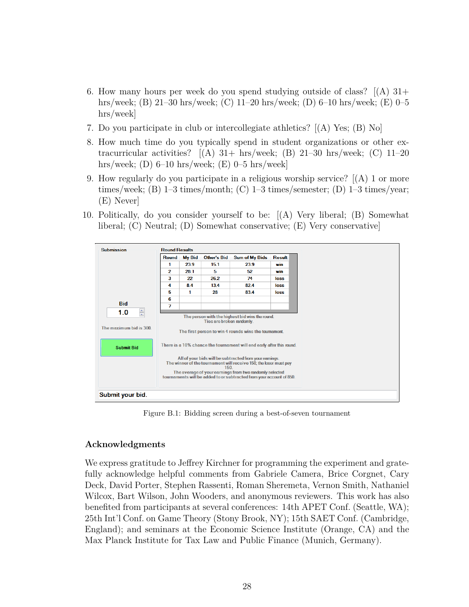- 6. How many hours per week do you spend studying outside of class?  $(A)$  31+ hrs/week; (B) 21–30 hrs/week; (C) 11–20 hrs/week; (D) 6–10 hrs/week; (E) 0–5 hrs/week]
- 7. Do you participate in club or intercollegiate athletics? [(A) Yes; (B) No]
- 8. How much time do you typically spend in student organizations or other extracurricular activities?  $(A)$  31+ hrs/week; (B) 21-30 hrs/week; (C) 11-20 hrs/week; (D) 6–10 hrs/week; (E) 0–5 hrs/week]
- 9. How regularly do you participate in a religious worship service? [(A) 1 or more times/week; (B) 1–3 times/month; (C) 1–3 times/semester; (D) 1–3 times/year; (E) Never]
- 10. Politically, do you consider yourself to be: [(A) Very liberal; (B) Somewhat liberal; (C) Neutral; (D) Somewhat conservative; (E) Very conservative]



Figure B.1: Bidding screen during a best-of-seven tournament

### **Acknowledgments**

We express gratitude to Jeffrey Kirchner for programming the experiment and gratefully acknowledge helpful comments from Gabriele Camera, Brice Corgnet, Cary Deck, David Porter, Stephen Rassenti, Roman Sheremeta, Vernon Smith, Nathaniel Wilcox, Bart Wilson, John Wooders, and anonymous reviewers. This work has also benefited from participants at several conferences: 14th APET Conf. (Seattle, WA); 25th Int'l Conf. on Game Theory (Stony Brook, NY); 15th SAET Conf. (Cambridge, England); and seminars at the Economic Science Institute (Orange, CA) and the Max Planck Institute for Tax Law and Public Finance (Munich, Germany).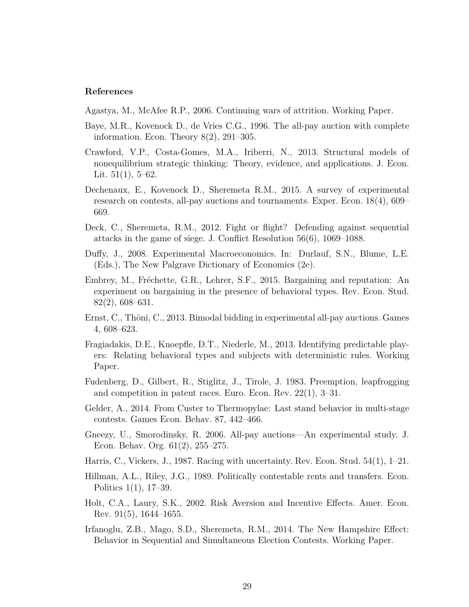#### **References**

Agastya, M., McAfee R.P., 2006. Continuing wars of attrition. Working Paper.

- Baye, M.R., Kovenock D., de Vries C.G., 1996. The all-pay auction with complete information. Econ. Theory 8(2), 291–305.
- Crawford, V.P., Costa-Gomes, M.A., Iriberri, N., 2013. Structural models of nonequilibrium strategic thinking: Theory, evidence, and applications. J. Econ. Lit.  $51(1)$ ,  $5-62$ .
- Dechenaux, E., Kovenock D., Sheremeta R.M., 2015. A survey of experimental research on contests, all-pay auctions and tournaments. Exper. Econ. 18(4), 609– 669.
- Deck, C., Sheremeta, R.M., 2012. Fight or flight? Defending against sequential attacks in the game of siege. J. Conflict Resolution 56(6), 1069–1088.
- Duffy, J., 2008. Experimental Macroeconomics. In: Durlauf, S.N., Blume, L.E. (Eds.), The New Palgrave Dictionary of Economics (2e).
- Embrey, M., Fréchette, G.R., Lehrer, S.F., 2015. Bargaining and reputation: An experiment on bargaining in the presence of behavioral types. Rev. Econ. Stud. 82(2), 608–631.
- Ernst, C., Thöni, C., 2013. Bimodal bidding in experimental all-pay auctions. Games 4, 608–623.
- Fragiadakis, D.E., Knoepfle, D.T., Niederle, M., 2013. Identifying predictable players: Relating behavioral types and subjects with deterministic rules. Working Paper.
- Fudenberg, D., Gilbert, R., Stiglitz, J., Tirole, J. 1983. Preemption, leapfrogging and competition in patent races. Euro. Econ. Rev. 22(1), 3–31.
- Gelder, A., 2014. From Custer to Thermopylae: Last stand behavior in multi-stage contests. Games Econ. Behav. 87, 442–466.
- Gneezy, U., Smorodinsky, R. 2006. All-pay auctions—An experimental study. J. Econ. Behav. Org. 61(2), 255–275.
- Harris, C., Vickers, J., 1987. Racing with uncertainty. Rev. Econ. Stud. 54(1), 1–21.
- Hillman, A.L., Riley, J.G., 1989. Politically contestable rents and transfers. Econ. Politics 1(1), 17–39.
- Holt, C.A., Laury, S.K., 2002. Risk Aversion and Incentive Effects. Amer. Econ. Rev. 91(5), 1644–1655.
- Irfanoglu, Z.B., Mago, S.D., Sheremeta, R.M., 2014. The New Hampshire Effect: Behavior in Sequential and Simultaneous Election Contests. Working Paper.